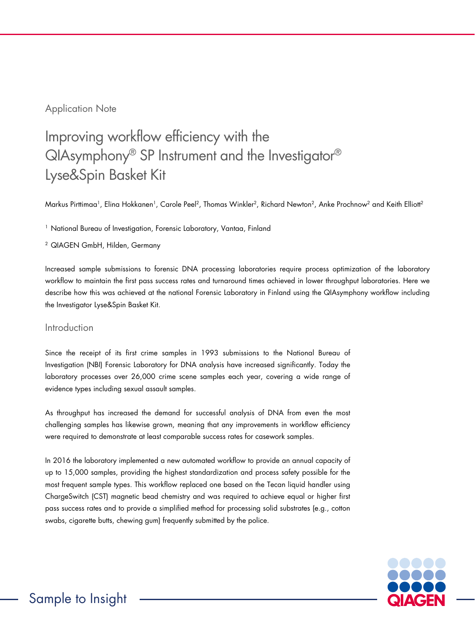## Application Note

# Improving workflow efficiency with the QIAsymphony® SP Instrument and the Investigator® Lyse&Spin Basket Kit

Markus Pirttimaa<sup>1</sup>, Elina Hokkanen<sup>1</sup>, Carole Peel<sup>2</sup>, Thomas Winkler<sup>2</sup>, Richard Newton<sup>2</sup>, Anke Prochnow<sup>2</sup> and Keith Elliott<sup>2</sup>

<sup>1</sup> National Bureau of Investigation, Forensic Laboratory, Vantaa, Finland

<sup>2</sup> QIAGEN GmbH, Hilden, Germany

Increased sample submissions to forensic DNA processing laboratories require process optimization of the laboratory workflow to maintain the first pass success rates and turnaround times achieved in lower throughput laboratories. Here we describe how this was achieved at the national Forensic Laboratory in Finland using the QIAsymphony workflow including the Investigator Lyse&Spin Basket Kit.

## Introduction

Since the receipt of its first crime samples in 1993 submissions to the National Bureau of Investigation (NBI) Forensic Laboratory for DNA analysis have increased significantly. Today the laboratory processes over 26,000 crime scene samples each year, covering a wide range of evidence types including sexual assault samples.

As throughput has increased the demand for successful analysis of DNA from even the most challenging samples has likewise grown, meaning that any improvements in workflow efficiency were required to demonstrate at least comparable success rates for casework samples.

In 2016 the laboratory implemented a new automated workflow to provide an annual capacity of up to 15,000 samples, providing the highest standardization and process safety possible for the most frequent sample types. This workflow replaced one based on the Tecan liquid handler using ChargeSwitch (CST) magnetic bead chemistry and was required to achieve equal or higher first pass success rates and to provide a simplified method for processing solid substrates (e.g., cotton swabs, cigarette butts, chewing gum) frequently submitted by the police.

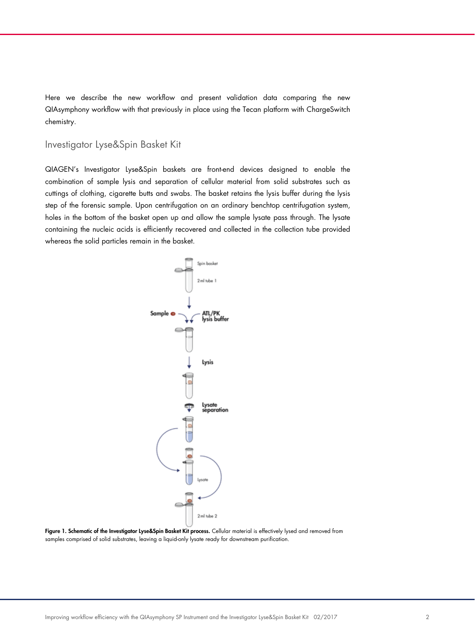Here we describe the new workflow and present validation data comparing the new QIAsymphony workflow with that previously in place using the Tecan platform with ChargeSwitch chemistry.

## Investigator Lyse&Spin Basket Kit

QIAGEN's Investigator Lyse&Spin baskets are front-end devices designed to enable the combination of sample lysis and separation of cellular material from solid substrates such as cuttings of clothing, cigarette butts and swabs. The basket retains the lysis buffer during the lysis step of the forensic sample. Upon centrifugation on an ordinary benchtop centrifugation system, holes in the bottom of the basket open up and allow the sample lysate pass through. The lysate containing the nucleic acids is efficiently recovered and collected in the collection tube provided whereas the solid particles remain in the basket.



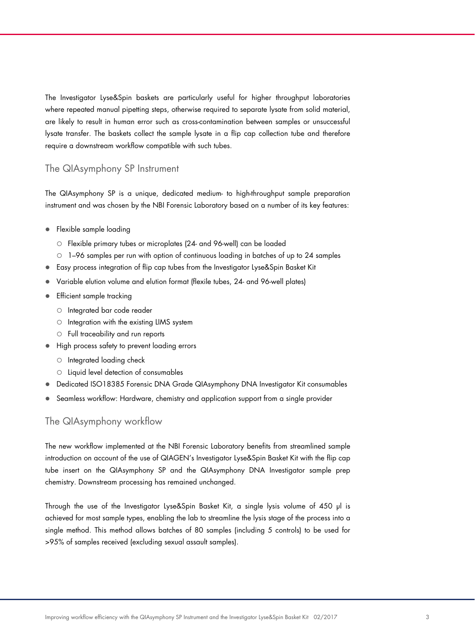The Investigator Lyse&Spin baskets are particularly useful for higher throughput laboratories where repeated manual pipetting steps, otherwise required to separate lysate from solid material, are likely to result in human error such as cross-contamination between samples or unsuccessful lysate transfer. The baskets collect the sample lysate in a flip cap collection tube and therefore require a downstream workflow compatible with such tubes.

## The QIAsymphony SP Instrument

The QIAsymphony SP is a unique, dedicated medium- to high-throughput sample preparation instrument and was chosen by the NBI Forensic Laboratory based on a number of its key features:

- Flexible sample loading
	- Flexible primary tubes or microplates (24- and 96-well) can be loaded
	- 1–96 samples per run with option of continuous loading in batches of up to 24 samples
- Easy process integration of flip cap tubes from the Investigator Lyse&Spin Basket Kit
- Variable elution volume and elution format (flexile tubes, 24- and 96-well plates)
- **•** Efficient sample tracking
	- Integrated bar code reader
	- $\circ$  Integration with the existing LIMS system
	- Full traceability and run reports
- $\bullet$  High process safety to prevent loading errors
	- $\circ$  Integrated loading check
	- Liquid level detection of consumables
- Dedicated ISO18385 Forensic DNA Grade QIAsymphony DNA Investigator Kit consumables
- Seamless workflow: Hardware, chemistry and application support from a single provider

## The QIAsymphony workflow

The new workflow implemented at the NBI Forensic Laboratory benefits from streamlined sample introduction on account of the use of QIAGEN's Investigator Lyse&Spin Basket Kit with the flip cap tube insert on the QIAsymphony SP and the QIAsymphony DNA Investigator sample prep chemistry. Downstream processing has remained unchanged.

Through the use of the Investigator Lyse&Spin Basket Kit, a single lysis volume of 450 µl is achieved for most sample types, enabling the lab to streamline the lysis stage of the process into a single method. This method allows batches of 80 samples (including 5 controls) to be used for >95% of samples received (excluding sexual assault samples).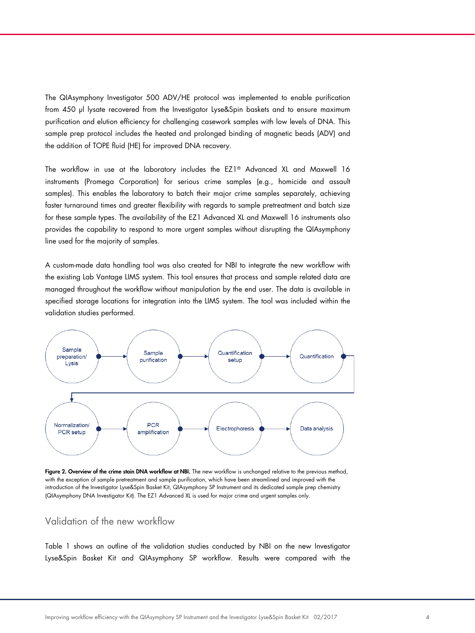The QIAsymphony Investigator 500 ADV/HE protocol was implemented to enable purification from 450 µl lysate recovered from the Investigator Lyse&Spin baskets and to ensure maximum purification and elution efficiency for challenging casework samples with low levels of DNA. This sample prep protocol includes the heated and prolonged binding of magnetic beads (ADV) and the addition of TOPE fluid (HE) for improved DNA recovery.

The workflow in use at the laboratory includes the EZ1® Advanced XL and Maxwell 16 instruments (Promega Corporation) for serious crime samples (e.g., homicide and assault samples). This enables the laboratory to batch their major crime samples separately, achieving faster turnaround times and greater flexibility with regards to sample pretreatment and batch size for these sample types. The availability of the EZ1 Advanced XL and Maxwell 16 instruments also provides the capability to respond to more urgent samples without disrupting the QIAsymphony line used for the majority of samples.

A custom-made data handling tool was also created for NBI to integrate the new workflow with the existing Lab Vantage LIMS system. This tool ensures that process and sample related data are managed throughout the workflow without manipulation by the end user. The data is available in specified storage locations for integration into the LIMS system. The tool was included within the validation studies performed.



Figure 2. Overview of the crime stain DNA workflow at NBI. The new workflow is unchanged relative to the previous method, with the exception of sample pretreatment and sample purification, which have been streamlined and improved with the introduction of the Investigator Lyse&Spin Basket Kit, QIAsymphony SP Instrument and its dedicated sample prep chemistry (QIAsymphony DNA Investigator Kit). The EZ1 Advanced XL is used for major crime and urgent samples only.

## Validation of the new workflow

Table 1 shows an outline of the validation studies conducted by NBI on the new Investigator Lyse&Spin Basket Kit and QIAsymphony SP workflow. Results were compared with the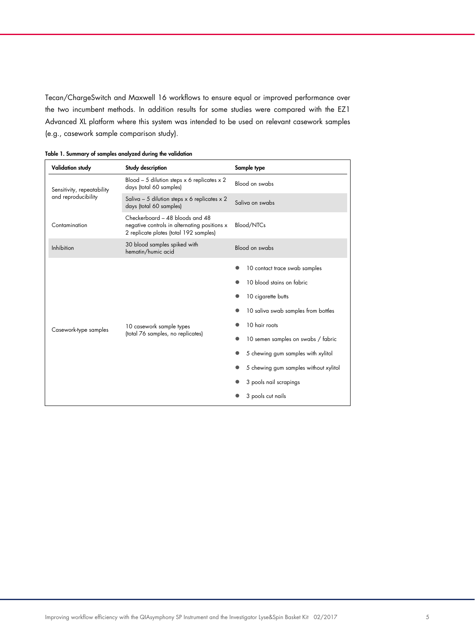Tecan/ChargeSwitch and Maxwell 16 workflows to ensure equal or improved performance over the two incumbent methods. In addition results for some studies were compared with the EZ1 Advanced XL platform where this system was intended to be used on relevant casework samples (e.g., casework sample comparison study).

| Validation study                                  | Study description                                                                                                         | Sample type                                                                                                                                                                                                                                                                                                  |  |  |
|---------------------------------------------------|---------------------------------------------------------------------------------------------------------------------------|--------------------------------------------------------------------------------------------------------------------------------------------------------------------------------------------------------------------------------------------------------------------------------------------------------------|--|--|
| Sensitivity, repeatability<br>and reproducibility | Blood - 5 dilution steps $x$ 6 replicates $x$ 2<br>days (total 60 samples)                                                | Blood on swabs                                                                                                                                                                                                                                                                                               |  |  |
|                                                   | Saliva - 5 dilution steps $x$ 6 replicates $x$ 2<br>days (total 60 samples)                                               | Saliva on swabs                                                                                                                                                                                                                                                                                              |  |  |
| Contamination                                     | Checkerboard - 48 bloods and 48<br>negative controls in alternating positions x<br>2 replicate plates (total 192 samples) | Blood/NTCs                                                                                                                                                                                                                                                                                                   |  |  |
| Inhibition                                        | 30 blood samples spiked with<br>hematin/humic acid                                                                        | Blood on swabs                                                                                                                                                                                                                                                                                               |  |  |
| Casework-type samples                             | 10 casework sample types<br>(total 76 samples, no replicates)                                                             | 10 contact trace swab samples<br>10 blood stains on fabric<br>10 cigarette butts<br>10 saliva swab samples from bottles<br>10 hair roots<br>10 semen samples on swabs / fabric<br>5 chewing gum samples with xylitol<br>5 chewing gum samples without xylitol<br>3 pools nail scrapings<br>3 pools cut nails |  |  |

Table 1. Summary of samples analyzed during the validation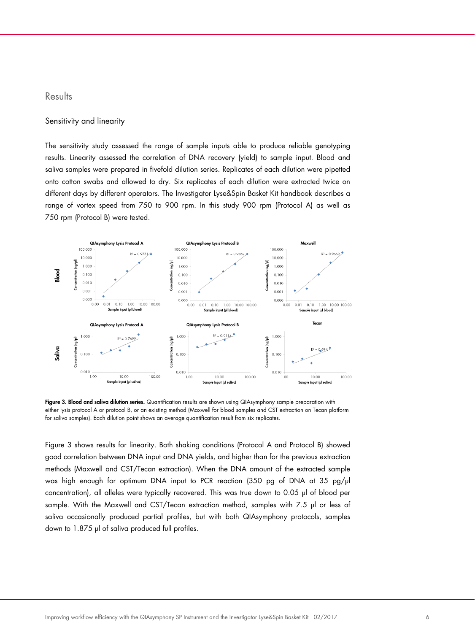### **Results**

#### Sensitivity and linearity

The sensitivity study assessed the range of sample inputs able to produce reliable genotyping results. Linearity assessed the correlation of DNA recovery (yield) to sample input. Blood and saliva samples were prepared in fivefold dilution series. Replicates of each dilution were pipetted onto cotton swabs and allowed to dry. Six replicates of each dilution were extracted twice on different days by different operators. The Investigator Lyse&Spin Basket Kit handbook describes a range of vortex speed from 750 to 900 rpm. In this study 900 rpm (Protocol A) as well as 750 rpm (Protocol B) were tested.



Figure 3. Blood and saliva dilution series. Quantification results are shown using QIAsymphony sample preparation with either lysis protocol A or protocol B, or an existing method (Maxwell for blood samples and CST extraction on Tecan platform for saliva samples). Each dilution point shows an average quantification result from six replicates.

Figure 3 shows results for linearity. Both shaking conditions (Protocol A and Protocol B) showed good correlation between DNA input and DNA yields, and higher than for the previous extraction methods (Maxwell and CST/Tecan extraction). When the DNA amount of the extracted sample was high enough for optimum DNA input to PCR reaction (350 pg of DNA at 35 pg/µl concentration), all alleles were typically recovered. This was true down to 0.05 µl of blood per sample. With the Maxwell and CST/Tecan extraction method, samples with 7.5 µl or less of saliva occasionally produced partial profiles, but with both QIAsymphony protocols, samples down to 1.875 µl of saliva produced full profiles.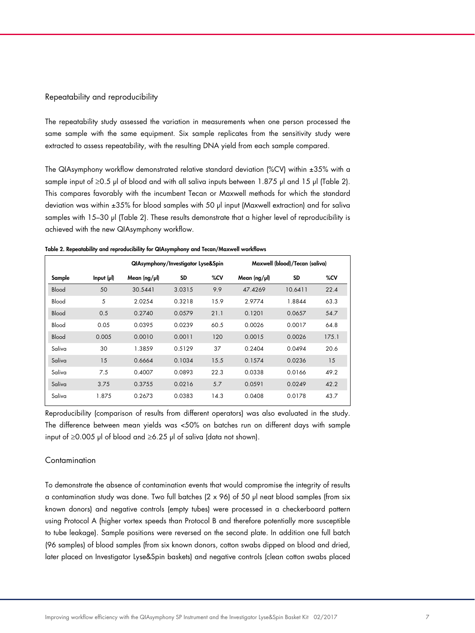#### Repeatability and reproducibility

The repeatability study assessed the variation in measurements when one person processed the same sample with the same equipment. Six sample replicates from the sensitivity study were extracted to assess repeatability, with the resulting DNA yield from each sample compared.

The QIAsymphony workflow demonstrated relative standard deviation (%CV) within ±35% with a sample input of  $\geq 0.5$  µl of blood and with all saliva inputs between 1.875 µl and 15 µl (Table 2). This compares favorably with the incumbent Tecan or Maxwell methods for which the standard deviation was within ±35% for blood samples with 50 µl input (Maxwell extraction) and for saliva samples with 15–30 µl (Table 2). These results demonstrate that a higher level of reproducibility is achieved with the new QIAsymphony workflow.

Table 2. Repeatability and reproducibility for QIAsymphony and Tecan/Maxwell workflows

|              |           | QIAsymphony/Investigator Lyse&Spin |           |      | Maxwell (blood)/Tecan (saliva) |           |       |
|--------------|-----------|------------------------------------|-----------|------|--------------------------------|-----------|-------|
| Sample       | Input (µ) | Mean $\frac{log}{\mu}$             | <b>SD</b> | %CV  | Mean $\frac{1}{\mu}$           | <b>SD</b> | %CV   |
| Blood        | 50        | 30.5441                            | 3.0315    | 9.9  | 47.4269                        | 10.6411   | 22.4  |
| Blood        | 5         | 2.0254                             | 0.3218    | 15.9 | 2.9774                         | 1.8844    | 63.3  |
| <b>Blood</b> | 0.5       | 0.2740                             | 0.0579    | 21.1 | 0.1201                         | 0.0657    | 54.7  |
| Blood        | 0.05      | 0.0395                             | 0.0239    | 60.5 | 0.0026                         | 0.0017    | 64.8  |
| Blood        | 0.005     | 0.0010                             | 0.0011    | 120  | 0.0015                         | 0.0026    | 175.1 |
| Saliva       | 30        | 1.3859                             | 0.5129    | 37   | 0.2404                         | 0.0494    | 20.6  |
| Saliva       | 15        | 0.6664                             | 0.1034    | 15.5 | 0.1574                         | 0.0236    | 15    |
| Saliva       | 7.5       | 0.4007                             | 0.0893    | 22.3 | 0.0338                         | 0.0166    | 49.2  |
| Saliva       | 3.75      | 0.3755                             | 0.0216    | 5.7  | 0.0591                         | 0.0249    | 42.2  |
| Saliva       | 1.875     | 0.2673                             | 0.0383    | 14.3 | 0.0408                         | 0.0178    | 43.7  |

Reproducibility (comparison of results from different operators) was also evaluated in the study. The difference between mean yields was <50% on batches run on different days with sample input of ≥0.005 µl of blood and ≥6.25 µl of saliva (data not shown).

#### **Contamination**

To demonstrate the absence of contamination events that would compromise the integrity of results a contamination study was done. Two full batches (2 x 96) of 50 µl neat blood samples (from six known donors) and negative controls (empty tubes) were processed in a checkerboard pattern using Protocol A (higher vortex speeds than Protocol B and therefore potentially more susceptible to tube leakage). Sample positions were reversed on the second plate. In addition one full batch (96 samples) of blood samples (from six known donors, cotton swabs dipped on blood and dried, later placed on Investigator Lyse&Spin baskets) and negative controls (clean cotton swabs placed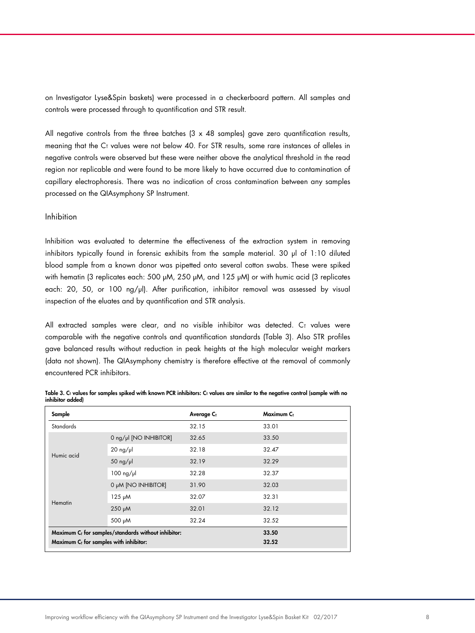on Investigator Lyse&Spin baskets) were processed in a checkerboard pattern. All samples and controls were processed through to quantification and STR result.

All negative controls from the three batches  $(3 \times 48$  samples) gave zero quantification results, meaning that the  $C<sub>I</sub>$  values were not below 40. For STR results, some rare instances of alleles in negative controls were observed but these were neither above the analytical threshold in the read region nor replicable and were found to be more likely to have occurred due to contamination of capillary electrophoresis. There was no indication of cross contamination between any samples processed on the QIAsymphony SP Instrument.

#### Inhibition

Inhibition was evaluated to determine the effectiveness of the extraction system in removing inhibitors typically found in forensic exhibits from the sample material. 30 µl of 1:10 diluted blood sample from a known donor was pipetted onto several cotton swabs. These were spiked with hematin (3 replicates each: 500 µM, 250 µM, and 125 µM) or with humic acid (3 replicates each: 20, 50, or 100 ng/µl). After purification, inhibitor removal was assessed by visual inspection of the eluates and by quantification and STR analysis.

All extracted samples were clear, and no visible inhibitor was detected.  $C_T$  values were comparable with the negative controls and quantification standards (Table 3). Also STR profiles gave balanced results without reduction in peak heights at the high molecular weight markers (data not shown). The QIAsymphony chemistry is therefore effective at the removal of commonly encountered PCR inhibitors.

| Sample                                      |                                                                 | Average C <sub>T</sub> | Maximum C <sub>T</sub> |
|---------------------------------------------|-----------------------------------------------------------------|------------------------|------------------------|
| <b>Standards</b>                            |                                                                 | 32.15                  | 33.01                  |
| Humic acid                                  | 0 ng/µl [NO INHIBITOR]                                          | 32.65                  | 33.50                  |
|                                             | $20$ ng/µ                                                       | 32.18                  | 32.47                  |
|                                             | 50 $ng/$ µl                                                     | 32.19                  | 32.29                  |
|                                             | $100$ ng/µl                                                     | 32.28                  | 32.37                  |
| Hematin                                     | O µM [NO INHIBITOR]                                             | 31.90                  | 32.03                  |
|                                             | $125 \mu M$                                                     | 32.07                  | 32.31                  |
|                                             | $250 \mu M$                                                     | 32.01                  | 32.12                  |
|                                             | 500 µM                                                          | 32.24                  | 32.52                  |
|                                             | Maximum C <sub>T</sub> for samples/standards without inhibitor: |                        | 33.50                  |
| Maximum $C_{I}$ for samples with inhibitor: |                                                                 |                        | 32.52                  |

Table 3.  $C<sub>T</sub>$  values for samples spiked with known PCR inhibitors:  $C<sub>T</sub>$  values are similar to the negative control (sample with no inhibitor added)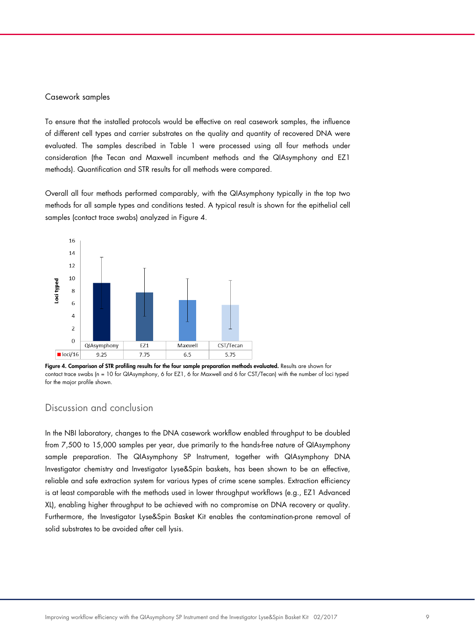#### Casework samples

To ensure that the installed protocols would be effective on real casework samples, the influence of different cell types and carrier substrates on the quality and quantity of recovered DNA were evaluated. The samples described in Table 1 were processed using all four methods under consideration (the Tecan and Maxwell incumbent methods and the QIAsymphony and EZ1 methods). Quantification and STR results for all methods were compared.

Overall all four methods performed comparably, with the QIAsymphony typically in the top two methods for all sample types and conditions tested. A typical result is shown for the epithelial cell samples (contact trace swabs) analyzed in Figure 4.



Figure 4. Comparison of STR profiling results for the four sample preparation methods evaluated. Results are shown for contact trace swabs (n = 10 for QIAsymphony, 6 for EZ1, 6 for Maxwell and 6 for CST/Tecan) with the number of loci typed for the major profile shown.

## Discussion and conclusion

In the NBI laboratory, changes to the DNA casework workflow enabled throughput to be doubled from 7,500 to 15,000 samples per year, due primarily to the hands-free nature of QIAsymphony sample preparation. The QIAsymphony SP Instrument, together with QIAsymphony DNA Investigator chemistry and Investigator Lyse&Spin baskets, has been shown to be an effective, reliable and safe extraction system for various types of crime scene samples. Extraction efficiency is at least comparable with the methods used in lower throughput workflows (e.g., EZ1 Advanced XL), enabling higher throughput to be achieved with no compromise on DNA recovery or quality. Furthermore, the Investigator Lyse&Spin Basket Kit enables the contamination-prone removal of solid substrates to be avoided after cell lysis.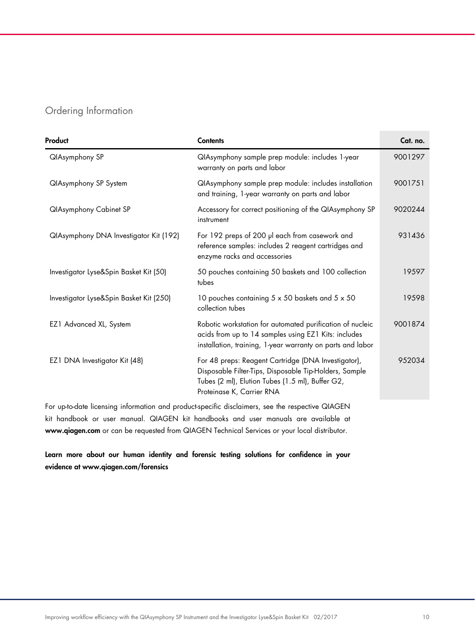# Ordering Information

| Product                                 | <b>Contents</b>                                                                                                                                                                                | Cat. no. |
|-----------------------------------------|------------------------------------------------------------------------------------------------------------------------------------------------------------------------------------------------|----------|
| <b>QIAsymphony SP</b>                   | QIAsymphony sample prep module: includes 1-year<br>warranty on parts and labor                                                                                                                 | 9001297  |
| <b>QlAsymphony SP System</b>            | QIAsymphony sample prep module: includes installation<br>and training, 1-year warranty on parts and labor                                                                                      | 9001751  |
| <b>QIAsymphony Cabinet SP</b>           | Accessory for correct positioning of the QIAsymphony SP<br>instrument                                                                                                                          | 9020244  |
| QIAsymphony DNA Investigator Kit (192)  | For 192 preps of 200 µl each from casework and<br>reference samples: includes 2 reagent cartridges and<br>enzyme racks and accessories                                                         | 931436   |
| Investigator Lyse&Spin Basket Kit (50)  | 50 pouches containing 50 baskets and 100 collection<br>tubes                                                                                                                                   | 19597    |
| Investigator Lyse&Spin Basket Kit (250) | 10 pouches containing 5 x 50 baskets and 5 x 50<br>collection tubes                                                                                                                            | 19598    |
| EZ1 Advanced XL, System                 | Robotic workstation for automated purification of nucleic<br>acids from up to 14 samples using EZ1 Kits: includes<br>installation, training, 1-year warranty on parts and labor                | 9001874  |
| EZ1 DNA Investigator Kit (48)           | For 48 preps: Reagent Cartridge (DNA Investigator),<br>Disposable Filter-Tips, Disposable Tip-Holders, Sample<br>Tubes (2 ml), Elution Tubes (1.5 ml), Buffer G2,<br>Proteinase K, Carrier RNA | 952034   |

For up-to-date licensing information and product-specific disclaimers, see the respective QIAGEN kit handbook or user manual. QIAGEN kit handbooks and user manuals are available at www.qiagen.com or can be requested from QIAGEN Technical Services or your local distributor.

Learn more about our human identity and forensic testing solutions for confidence in your evidence at www.qiagen.com/forensics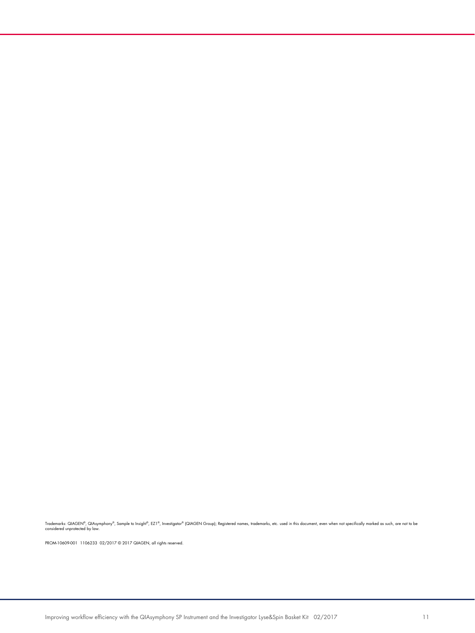Trademarks: QIAGEN®, QIAsymphony®, Sample to Insight®, EZ1®, Investigator® (QIAGEN Group); Registered names, trademarks, etc. used in this document, even when not specifically marked as such, are not to be<br>considered unpro

PROM-10609-001 1106233 02/2017 © 2017 QIAGEN, all rights reserved.